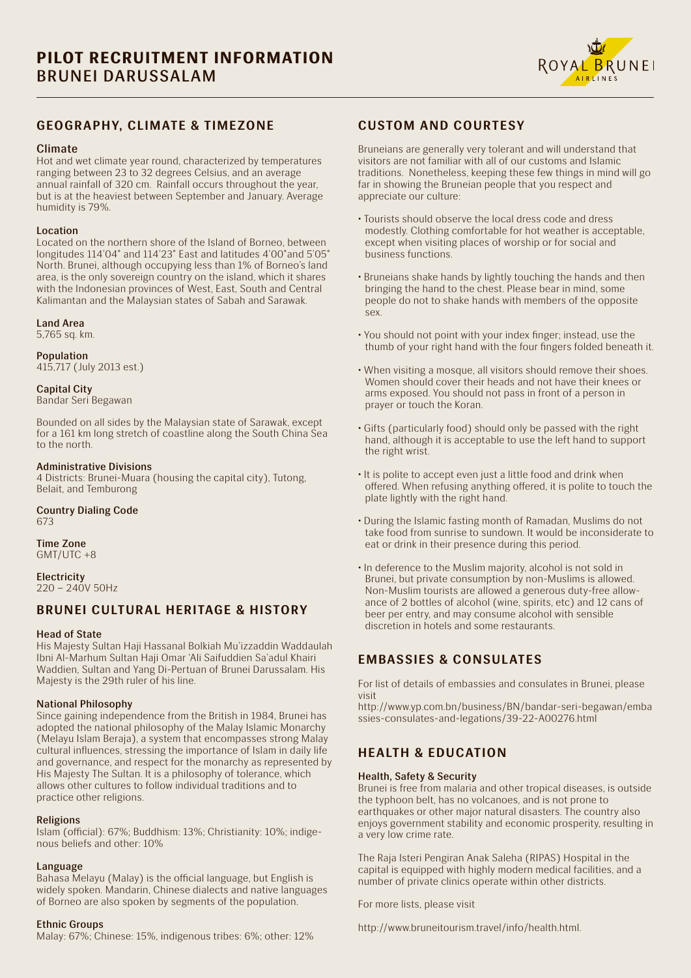

### **GEOGRAPHY, CLIMATE & TIMEZONE**

#### Climate

Hot and wet climate year round, characterized by temperatures ranging between 23 to 32 degrees Celsius, and an average annual rainfall of 320 cm. Rainfall occurs throughout the year, but is at the heaviest between September and January. Average humidity is 79%.

#### Location

Located on the northern shore of the Island of Borneo, between longitudes 114'04˚ and 114'23˚ East and latitudes 4'00˚and 5'05˚ North. Brunei, although occupying less than 1% of Borneo's land area, is the only sovereign country on the island, which it shares with the Indonesian provinces of West, East, South and Central Kalimantan and the Malaysian states of Sabah and Sarawak.

#### Land Area

5,765 sq. km.

#### Population

415,717 (July 2013 est.)

### Capital City

Bandar Seri Begawan

Bounded on all sides by the Malaysian state of Sarawak, except for a 161 km long stretch of coastline along the South China Sea to the north.

### Administrative Divisions

4 Districts: Brunei-Muara (housing the capital city), Tutong, Belait, and Temburong

Country Dialing Code 673

Time Zone  $GMT/UTC + 8$ 

**Electricity**  $220 - 240V$  50Hz

## **BRUNEI CULTURAL HERITAGE & HISTORY**

### Head of State

His Majesty Sultan Haji Hassanal Bolkiah Mu'izzaddin Waddaulah Ibni Al-Marhum Sultan Haji Omar 'Ali Saifuddien Sa'adul Khairi Waddien, Sultan and Yang Di-Pertuan of Brunei Darussalam. His Majesty is the 29th ruler of his line.

### National Philosophy

Since gaining independence from the British in 1984, Brunei has adopted the national philosophy of the Malay Islamic Monarchy (Melayu Islam Beraja), a system that encompasses strong Malay cultural influences, stressing the importance of Islam in daily life and governance, and respect for the monarchy as represented by His Majesty The Sultan. It is a philosophy of tolerance, which allows other cultures to follow individual traditions and to practice other religions.

### Religions

Islam (official): 67%; Buddhism: 13%; Christianity: 10%; indigenous beliefs and other: 10%

### Language

Bahasa Melayu (Malay) is the official language, but English is widely spoken. Mandarin, Chinese dialects and native languages of Borneo are also spoken by segments of the population.

### Ethnic Groups

Malay: 67%; Chinese: 15%, indigenous tribes: 6%; other: 12%

# **CUSTOM AND COURTESY**

Bruneians are generally very tolerant and will understand that visitors are not familiar with all of our customs and Islamic traditions. Nonetheless, keeping these few things in mind will go far in showing the Bruneian people that you respect and appreciate our culture:

- Tourists should observe the local dress code and dress modestly. Clothing comfortable for hot weather is acceptable, except when visiting places of worship or for social and business functions.
- Bruneians shake hands by lightly touching the hands and then bringing the hand to the chest. Please bear in mind, some people do not to shake hands with members of the opposite sex.
- You should not point with your index finger; instead, use the thumb of your right hand with the four fingers folded beneath it.
- When visiting a mosque, all visitors should remove their shoes. Women should cover their heads and not have their knees or arms exposed. You should not pass in front of a person in prayer or touch the Koran.
- Gifts (particularly food) should only be passed with the right hand, although it is acceptable to use the left hand to support the right wrist.
- It is polite to accept even just a little food and drink when offered. When refusing anything offered, it is polite to touch the plate lightly with the right hand.
- During the Islamic fasting month of Ramadan, Muslims do not take food from sunrise to sundown. It would be inconsiderate to eat or drink in their presence during this period.
- In deference to the Muslim majority, alcohol is not sold in Brunei, but private consumption by non-Muslims is allowed. Non-Muslim tourists are allowed a generous duty-free allowance of 2 bottles of alcohol (wine, spirits, etc) and 12 cans of beer per entry, and may consume alcohol with sensible discretion in hotels and some restaurants.

# **EMBASSIES & CONSULATES**

For list of details of embassies and consulates in Brunei, please visit

http://www.yp.com.bn/business/BN/bandar-seri-begawan/emba ssies-consulates-and-legations/39-22-A00276.html

## **HEALTH & EDUCATION**

### Health, Safety & Security

Brunei is free from malaria and other tropical diseases, is outside the typhoon belt, has no volcanoes, and is not prone to earthquakes or other major natural disasters. The country also enjoys government stability and economic prosperity, resulting in a very low crime rate.

The Raja Isteri Pengiran Anak Saleha (RIPAS) Hospital in the capital is equipped with highly modern medical facilities, and a number of private clinics operate within other districts.

For more lists, please visit

http://www.bruneitourism.travel/info/health.html.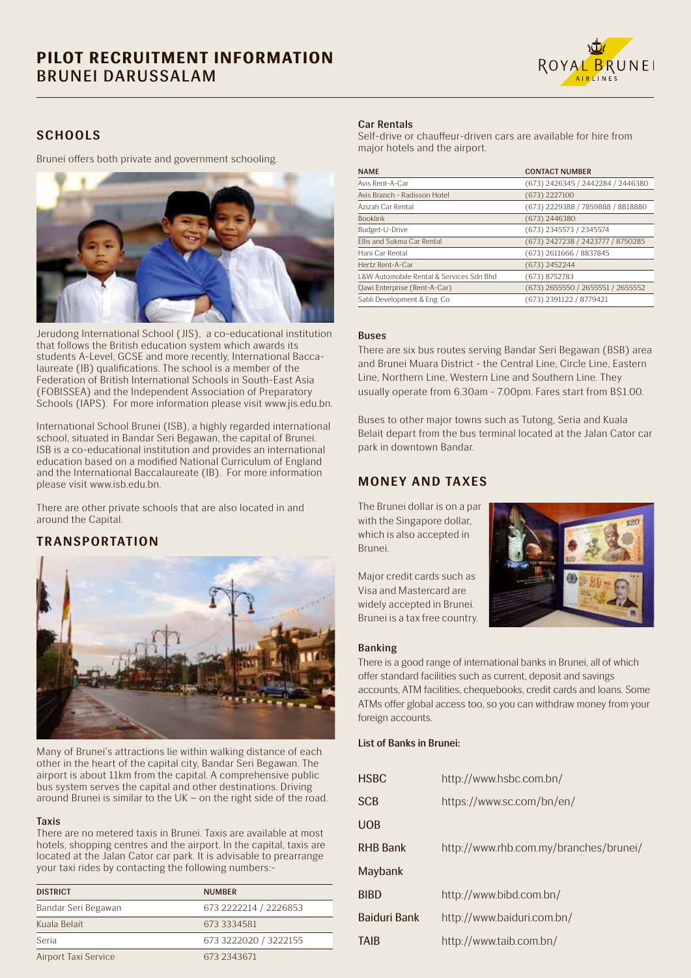

## **SCHOOLS**

Brunei offers both private and government schooling.



Jerudong International School (JIS), a co-educational institution that follows the British education system which awards its students A-Level, GCSE and more recently, International Baccalaureate (IB) qualifications. The school is a member of the Federation of British International Schools in South-East Asia (FOBISSEA) and the Independent Association of Preparatory Schools (IAPS). For more information please visit www.jis.edu.bn.

International School Brunei (ISB), a highly regarded international school, situated in Bandar Seri Begawan, the capital of Brunei. ISB is a co-educational institution and provides an international education based on a modified National Curriculum of England and the International Baccalaureate (IB). For more information please visit www.isb.edu.bn.

There are other private schools that are also located in and around the Capital.

## **TRANSPORTATION**



Many of Brunei's attractions lie within walking distance of each other in the heart of the capital city, Bandar Seri Begawan. The airport is about 11km from the capital. A comprehensive public bus system serves the capital and other destinations. Driving around Brunei is similar to the UK – on the right side of the road.

### Taxis

There are no metered taxis in Brunei. Taxis are available at most hotels, shopping centres and the airport. In the capital, taxis are located at the Jalan Cator car park. It is advisable to prearrange your taxi rides by contacting the following numbers:-

| <b>DISTRICT</b>      | <b>NUMBER</b>         |
|----------------------|-----------------------|
| Bandar Seri Begawan  | 673 2222214 / 2226853 |
| Kuala Belait         | 673 3334581           |
| Seria                | 673 3222020 / 3222155 |
| Airport Taxi Service | 673 2343671           |

### Car Rentals

Self-drive or chauffeur-driven cars are available for hire from major hotels and the airport.

| <b>NAME</b>                              | <b>CONTACT NUMBER</b>             |
|------------------------------------------|-----------------------------------|
| Avis Rent-A-Car                          | (673) 2426345 / 2442284 / 2446380 |
| Avis Branch - Radisson Hotel             | $(673)$ 2227100                   |
| Azizah Car Rental                        | (673) 2229388 / 7859888 / 8818880 |
| <b>Booklink</b>                          | $(673)$ 2446380                   |
| Budget-U-Drive                           | (673) 2345573 / 2345574           |
| Ellis and Sukma Car Rental               | (673) 2427238 / 2423777 / 8750285 |
| Hani Car Rental                          | (673) 2611666 / 8837845           |
| Hertz Rent-A-Car                         | (673) 2452244                     |
| L&W Automobile Rental & Services Sdn Bhd | (673) 8752783                     |
| Qawi Enterprise (Rent-A-Car)             | (673) 2655550 / 2655551 / 2655552 |
| Sabli Development & Eng. Co.             | (673) 2391122 / 8779421           |

### Buses

There are six bus routes serving Bandar Seri Begawan (BSB) area and Brunei Muara District - the Central Line, Circle Line, Eastern Line, Northern Line, Western Line and Southern Line. They usually operate from 6.30am - 7.00pm. Fares start from B\$1.00.

Buses to other major towns such as Tutong, Seria and Kuala Belait depart from the bus terminal located at the Jalan Cator car park in downtown Bandar.

## **MONEY AND TAXES**

The Brunei dollar is on a par with the Singapore dollar, which is also accepted in Brunei.

Major credit cards such as Visa and Mastercard are widely accepted in Brunei. Brunei is a tax free country.



### Banking

There is a good range of international banks in Brunei, all of which offer standard facilities such as current, deposit and savings accounts, ATM facilities, chequebooks, credit cards and loans. Some ATMs offer global access too, so you can withdraw money from your foreign accounts.

### List of Banks in Brunei:

| <b>HSBC</b>         | http://www.hsbc.com.bn/                |
|---------------------|----------------------------------------|
| <b>SCB</b>          | https://www.sc.com/bn/en/              |
| <b>UOB</b>          |                                        |
| <b>RHB Bank</b>     | http://www.rhb.com.my/branches/brunei/ |
| Maybank             |                                        |
| <b>BIBD</b>         | http://www.bibd.com.bn/                |
| <b>Baiduri Bank</b> | http://www.baiduri.com.bn/             |
| TAIB                | http://www.taib.com.bn/                |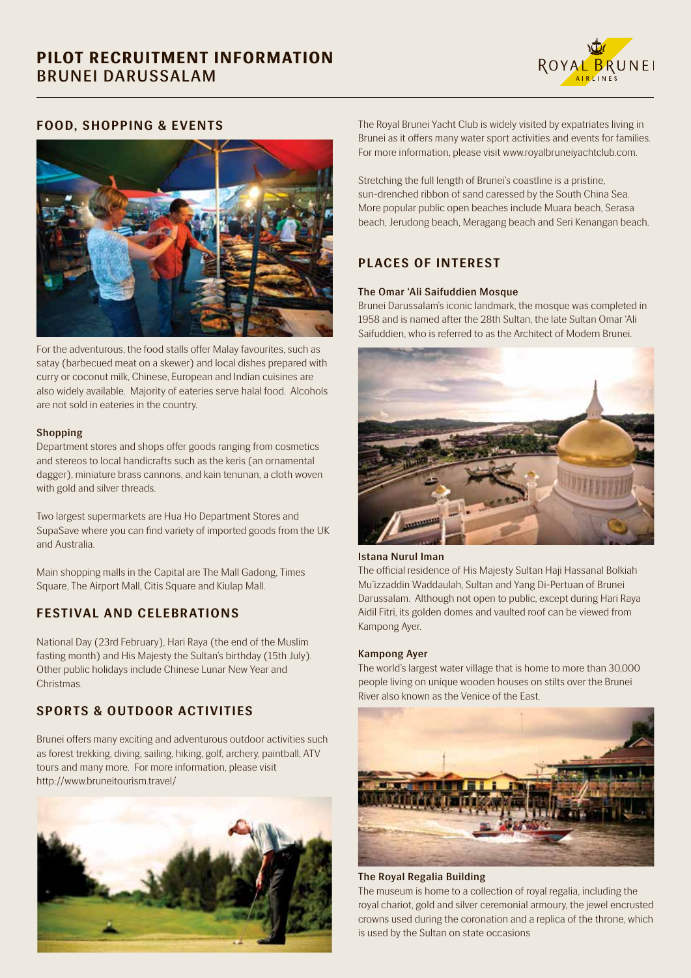

### **FOOD, SHOPPING & EVENTS**



For the adventurous, the food stalls offer Malay favourites, such as satay (barbecued meat on a skewer) and local dishes prepared with curry or coconut milk, Chinese, European and Indian cuisines are also widely available. Majority of eateries serve halal food. Alcohols are not sold in eateries in the country.

### Shopping

Department stores and shops offer goods ranging from cosmetics and stereos to local handicrafts such as the keris (an ornamental dagger), miniature brass cannons, and kain tenunan, a cloth woven with gold and silver threads.

Two largest supermarkets are Hua Ho Department Stores and SupaSave where you can find variety of imported goods from the UK and Australia.

Main shopping malls in the Capital are The Mall Gadong, Times Square, The Airport Mall, Citis Square and Kiulap Mall.

## **FESTIVAL AND CELEBRATIONS**

National Day (23rd February), Hari Raya (the end of the Muslim fasting month) and His Majesty the Sultan's birthday (15th July). Other public holidays include Chinese Lunar New Year and Christmas.

# **SPORTS & OUTDOOR ACTIVITIES**

Brunei offers many exciting and adventurous outdoor activities such as forest trekking, diving, sailing, hiking, golf, archery, paintball, ATV tours and many more. For more information, please visit http://www.bruneitourism.travel/



The Royal Brunei Yacht Club is widely visited by expatriates living in Brunei as it offers many water sport activities and events for families. For more information, please visit www.royalbruneiyachtclub.com.

Stretching the full length of Brunei's coastline is a pristine, sun-drenched ribbon of sand caressed by the South China Sea. More popular public open beaches include Muara beach, Serasa beach, Jerudong beach, Meragang beach and Seri Kenangan beach.

# **PLACES OF INTEREST**

### The Omar 'Ali Saifuddien Mosque

Brunei Darussalam's iconic landmark, the mosque was completed in 1958 and is named after the 28th Sultan, the late Sultan Omar 'Ali Saifuddien, who is referred to as the Architect of Modern Brunei.



### Istana Nurul Iman

The official residence of His Majesty Sultan Haji Hassanal Bolkiah Mu'izzaddin Waddaulah, Sultan and Yang Di-Pertuan of Brunei Darussalam. Although not open to public, except during Hari Raya Aidil Fitri, its golden domes and vaulted roof can be viewed from Kampong Ayer.

### Kampong Ayer

The world's largest water village that is home to more than 30,000 people living on unique wooden houses on stilts over the Brunei River also known as the Venice of the East.



The Royal Regalia Building

The museum is home to a collection of royal regalia, including the royal chariot, gold and silver ceremonial armoury, the jewel encrusted crowns used during the coronation and a replica of the throne, which is used by the Sultan on state occasions